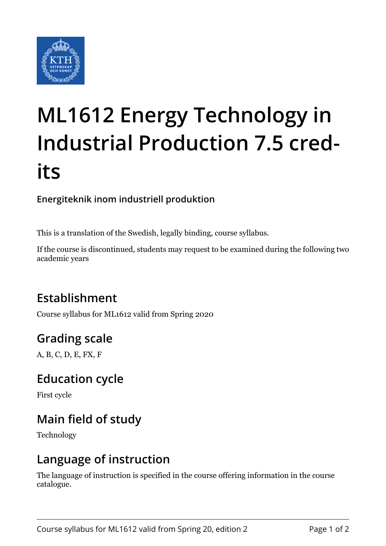

# **ML1612 Energy Technology in Industrial Production 7.5 credits**

#### **Energiteknik inom industriell produktion**

This is a translation of the Swedish, legally binding, course syllabus.

If the course is discontinued, students may request to be examined during the following two academic years

# **Establishment**

Course syllabus for ML1612 valid from Spring 2020

# **Grading scale**

A, B, C, D, E, FX, F

#### **Education cycle**

First cycle

# **Main field of study**

Technology

#### **Language of instruction**

The language of instruction is specified in the course offering information in the course catalogue.